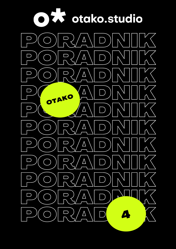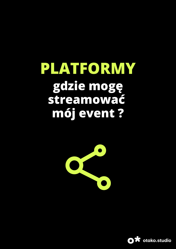# **PLATFORMY gdzie mogę streamować mój event ?**



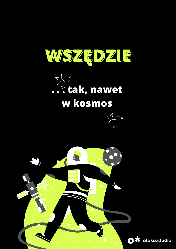

# $\frac{1}{\sqrt{2}}$ . . . tak, nawet w kosmos



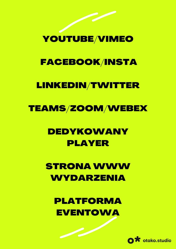## YOUTUBE/VIMEO

## FACEBOOK/INSTA

### LINKEDIN/TWITTER

### TEAMS/ZOOM/WEBEX

## DEDYKOWANY PLAYER

## **STRONA WWW** WYDARZENIA

PLATFORMA **EVENTOWA** 

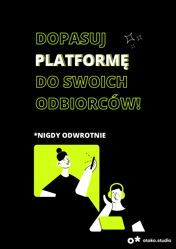

#### **\*NIGDY ODWROTNIE**

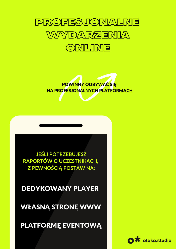



**JEŚLI POTRZEBUJESZ** RAPORTÓW O UCZESTNIKACH, **Z PEWNOŚCIĄ POSTAW NA:** 

**DEDYKOWANY PLAYER** 



**WŁASNĄ STRONĘ WWW** 

PLATFORMĘ EVENTOWĄ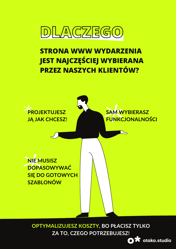

### **STRONA WWW WYDARZENIA JEST NAJCZĘŚCIEJ WYBIERANA PRZEZ NASZYCH KLIENTÓW?**



OPTYMALIZUJESZ KOSZTY, BO PŁACISZ TYLKO ZA TO, CZEGO POTRZEBUJESZ!

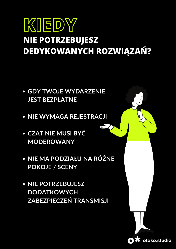# KIEDY **NIE POTRZEBUJESZ DEDYKOWANYCH ROZWIĄZAŃ?**

- **GDY TWOJE WYDARZENIE JEST BEZPŁATNE**
- NIE WYMAGA REJESTRACJI
- CZAT NIE MUSI BYĆ **MODEROWANY**
- NIE MA PODZIAŁU NA RÓŻNE **POKOJE / SCENY**
- NIE POTRZEBUJESZ **DODATKOWYCH** ZABEZPIECZEŃ TRANSMISJI

otako.studio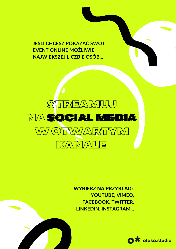**JEŚLI CHCESZ POKAZAĆ SWÓJ EVENT ONLINE MOŻLIWIE NAJWIĘKSZEJ LICZBIE OSÓB...**



WYBIERZ NA PRZYKŁAD: **YOUTUBE, VIMEO, FACEBOOK, TWITTER, LINKEDIN, INSTAGRAM...**

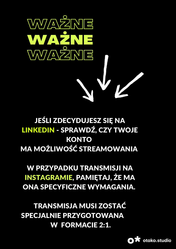

### **JEŚLI ZDECYDUJESZ SIĘ NA** LINKEDIN - SPRAWDŹ, CZY TWOJE **KONTO MA MOŻLIWOŚĆ STREAMOWANIA**

**W PRZYPADKU TRANSMISJI NA INSTAGRAMIE, PAMIĘTAJ, ŻE MA** ONA SPECYFICZNE WYMAGANIA.

**TRANSMISJA MUSI ZOSTAĆ SPECJALNIE PRZYGOTOWANA W FORMACIE 2:1.** 

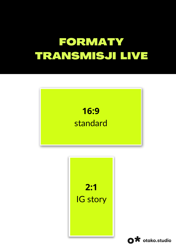# FORMATY TRANSMISJI LIVE





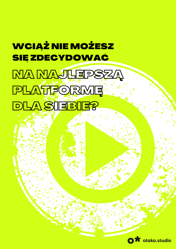# **WCIĄŻ NIE MOŻESZ SIĘ ZDECYDOWAĆ**

MA MAJLEPSZA PLATFORME<sup>:</sup> **DLA SIEBIE?**